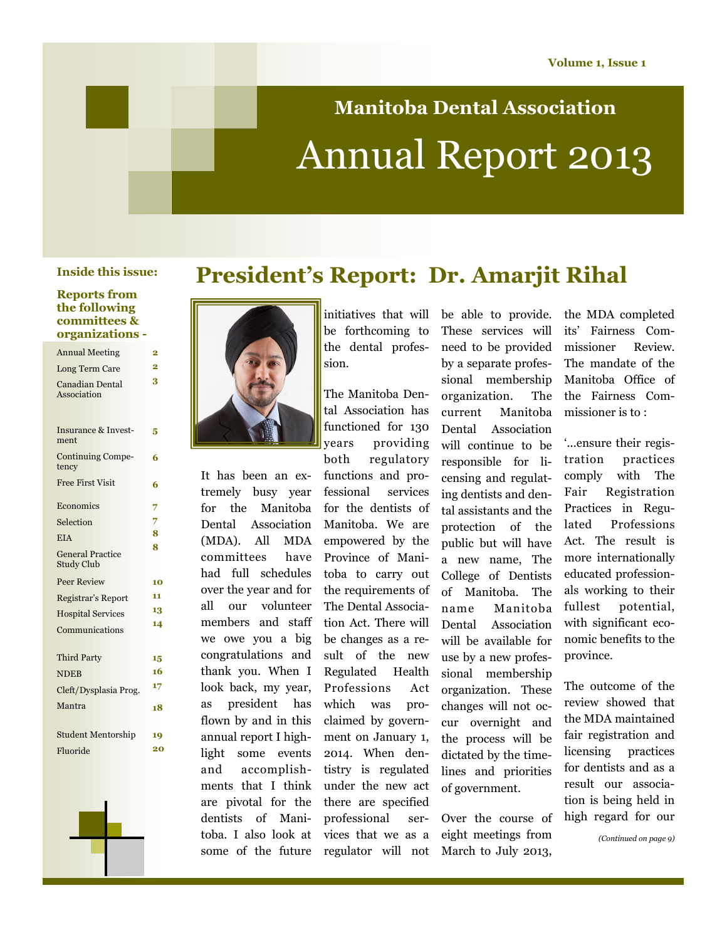# **Manitoba Dental Association** Annual Report 2013

#### **Reports from the following committees & organizations -**

| <b>Annual Meeting</b>                        | 2              |
|----------------------------------------------|----------------|
| Long Term Care                               | $\overline{2}$ |
| Canadian Dental<br>Association               | 3              |
| <b>Insurance &amp; Invest-</b><br>ment       | 5              |
| <b>Continuing Compe-</b><br>tency            | 6              |
| <b>Free First Visit</b>                      | 6              |
| Economics                                    | 7              |
| Selection                                    | 7              |
| <b>EIA</b>                                   | 8              |
| <b>General Practice</b><br><b>Study Club</b> | 8              |
| <b>Peer Review</b>                           | 10             |
| Registrar's Report                           | 11             |
| <b>Hospital Services</b>                     | 13             |
| Communications                               | 14             |
| Third Party                                  | 15             |
| <b>NDEB</b>                                  | 16             |
| Cleft/Dysplasia Prog.                        | 17             |
| Mantra                                       | 18             |
| <b>Student Mentorship</b>                    | 19             |
| Fluoride                                     | 20             |

### **President's Report: Dr. Amarjit Rihal Inside this issue:**



It has been an extremely busy year for the Manitoba Dental Association (MDA). All MDA committees have had full schedules over the year and for all our volunteer members and staff we owe you a big congratulations and thank you. When I look back, my year, as president has flown by and in this annual report I highlight some events and accomplishments that I think are pivotal for the dentists of Manitoba. I also look at some of the future

initiatives that will be able to provide. be forthcoming to the dental profession.

The Manitoba Dental Association has functioned for 130 years providing

both regulatory functions and professional services for the dentists of Manitoba. We are empowered by the Province of Manitoba to carry out the requirements of The Dental Association Act. There will be changes as a result of the new Regulated Health Professions Act which was proclaimed by government on January 1, 2014. When dentistry is regulated under the new act there are specified professional services that we as a regulator will not

These services will need to be provided by a separate professional membership organization. The current Manitoba Dental Association will continue to be responsible for licensing and regulating dentists and dental assistants and the protection of the public but will have a new name, The College of Dentists of Manitoba. The name Manitoba Dental Association will be available for use by a new professional membership organization. These changes will not occur overnight and the process will be dictated by the timelines and priorities of government.

Over the course of eight meetings from March to July 2013,

the MDA completed its' Fairness Commissioner Review. The mandate of the Manitoba Office of the Fairness Commissioner is to :

'...ensure their registration practices comply with The Fair Registration Practices in Regulated Professions Act. The result is more internationally educated professionals working to their fullest potential, with significant economic benefits to the province.

The outcome of the review showed that the MDA maintained fair registration and licensing practices for dentists and as a result our association is being held in high regard for our

*(Continued on page 9)*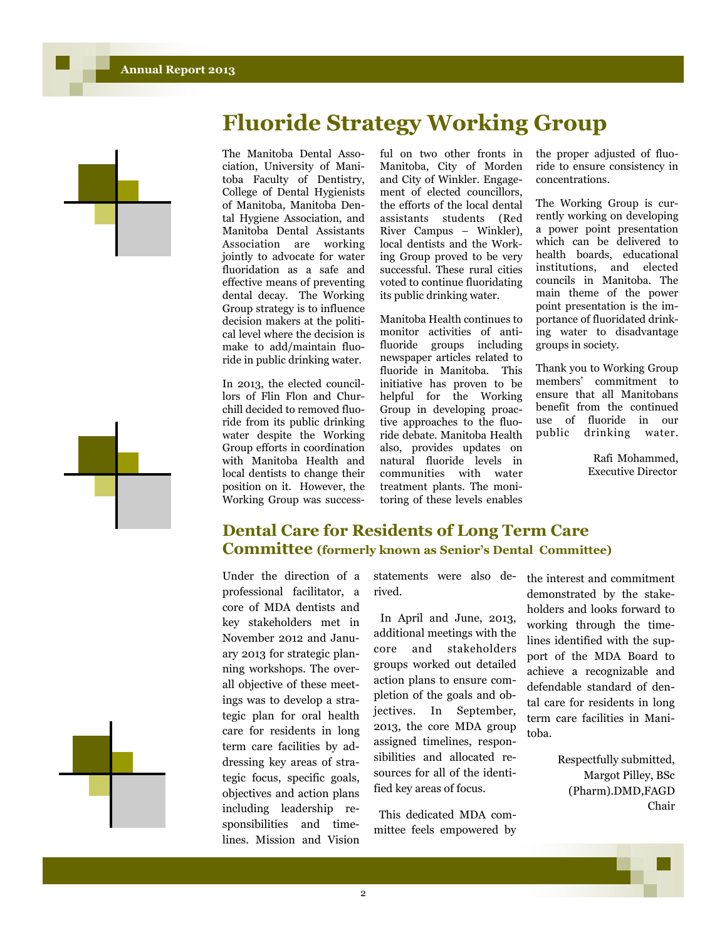





The Manitoba Dental Association, University of Manitoba Faculty of Dentistry, College of Dental Hygienists of Manitoba, Manitoba Dental Hygiene Association, and Manitoba Dental Assistants Association are working jointly to advocate for water fluoridation as a safe and effective means of preventing dental decay. The Working Group strategy is to influence decision makers at the political level where the decision is make to add/maintain fluoride in public drinking water.

In 2013, the elected councillors of Flin Flon and Churchill decided to removed fluoride from its public drinking water despite the Working Group efforts in coordination with Manitoba Health and local dentists to change their position on it. However, the Working Group was success-

ful on two other fronts in Manitoba, City of Morden and City of Winkler. Engagement of elected councillors, the efforts of the local dental assistants students (Red River Campus – Winkler), local dentists and the Working Group proved to be very successful. These rural cities voted to continue fluoridating its public drinking water.

Manitoba Health continues to monitor activities of antifluoride groups including newspaper articles related to fluoride in Manitoba. This initiative has proven to be helpful for the Working Group in developing proactive approaches to the fluoride debate. Manitoba Health also, provides updates on natural fluoride levels in communities with water treatment plants. The monitoring of these levels enables the proper adjusted of fluoride to ensure consistency in concentrations.

The Working Group is currently working on developing a power point presentation which can be delivered to health boards, educational institutions, and elected councils in Manitoba. The main theme of the power point presentation is the importance of fluoridated drinking water to disadvantage groups in society.

Thank you to Working Group members' commitment to ensure that all Manitobans benefit from the continued use of fluoride in our public drinking water.

> Rafi Mohammed, Executive Director

### **Dental Care for Residents of Long Term Care Committee (formerly known as Senior's Dental Committee)**

Under the direction of a professional facilitator, a core of MDA dentists and key stakeholders met in November 2012 and January 2013 for strategic planning workshops. The overall objective of these meetings was to develop a strategic plan for oral health care for residents in long term care facilities by addressing key areas of strategic focus, specific goals, objectives and action plans including leadership responsibilities and timelines. Mission and Vision

statements were also derived.

In April and June, 2013, additional meetings with the core and stakeholders groups worked out detailed action plans to ensure completion of the goals and objectives. In September, 2013, the core MDA group assigned timelines, responsibilities and allocated resources for all of the identified key areas of focus.

This dedicated MDA committee feels empowered by the interest and commitment demonstrated by the stakeholders and looks forward to working through the timelines identified with the support of the MDA Board to achieve a recognizable and defendable standard of dental care for residents in long term care facilities in Manitoba.

> Respectfully submitted, Margot Pilley, BSc (Pharm).DMD,FAGD Chair

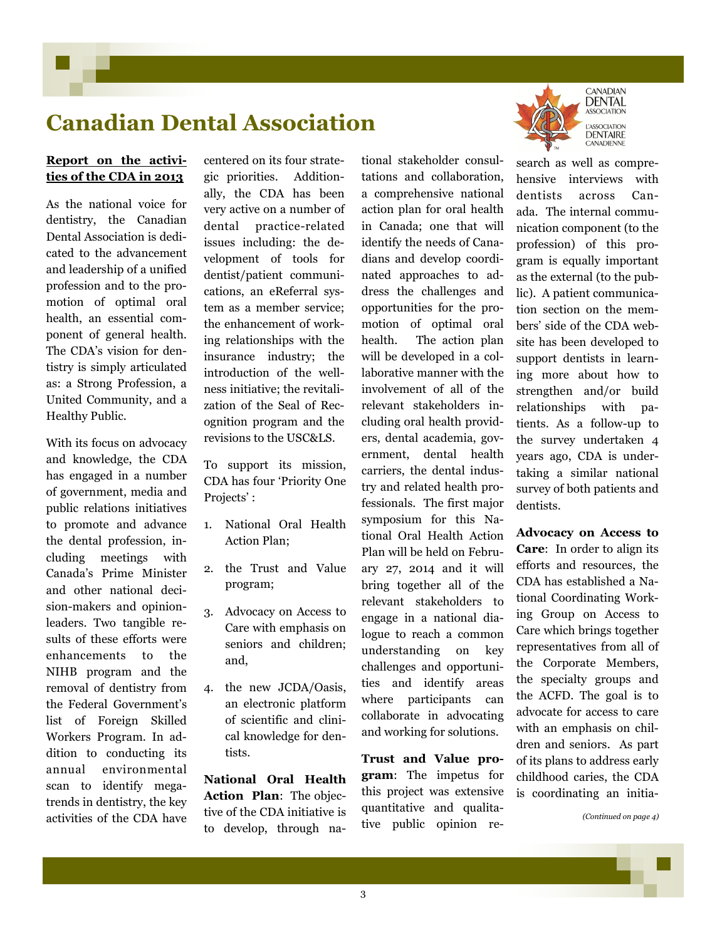## **Canadian Dental Association**

### **Report on the activities of the CDA in 2013**

As the national voice for dentistry, the Canadian Dental Association is dedicated to the advancement and leadership of a unified profession and to the promotion of optimal oral health, an essential component of general health. The CDA's vision for dentistry is simply articulated as: a Strong Profession, a United Community, and a Healthy Public.

With its focus on advocacy and knowledge, the CDA has engaged in a number of government, media and public relations initiatives to promote and advance the dental profession, including meetings with Canada's Prime Minister and other national decision-makers and opinionleaders. Two tangible results of these efforts were enhancements to the NIHB program and the removal of dentistry from the Federal Government's list of Foreign Skilled Workers Program. In addition to conducting its annual environmental scan to identify megatrends in dentistry, the key activities of the CDA have centered on its four strategic priorities. Additionally, the CDA has been very active on a number of dental practice-related issues including: the development of tools for dentist/patient communications, an eReferral system as a member service; the enhancement of working relationships with the insurance industry; the introduction of the wellness initiative; the revitalization of the Seal of Recognition program and the revisions to the USC&LS.

To support its mission, CDA has four 'Priority One Projects':

- 1. National Oral Health Action Plan;
- 2. the Trust and Value program;
- 3. Advocacy on Access to Care with emphasis on seniors and children; and,
- 4. the new JCDA/Oasis, an electronic platform of scientific and clinical knowledge for dentists.

**National Oral Health Action Plan**: The objective of the CDA initiative is to develop, through natations and collaboration, a comprehensive national action plan for oral health in Canada; one that will identify the needs of Canadians and develop coordinated approaches to address the challenges and opportunities for the promotion of optimal oral health. The action plan will be developed in a collaborative manner with the involvement of all of the relevant stakeholders including oral health providers, dental academia, government, dental health carriers, the dental industry and related health professionals. The first major symposium for this National Oral Health Action Plan will be held on February 27, 2014 and it will bring together all of the relevant stakeholders to engage in a national dialogue to reach a common understanding on key challenges and opportunities and identify areas where participants can collaborate in advocating and working for solutions.

tional stakeholder consul-

**Trust and Value program**: The impetus for this project was extensive quantitative and qualitative public opinion re-



search as well as comprehensive interviews with dentists across Canada. The internal communication component (to the profession) of this program is equally important as the external (to the public). A patient communication section on the members' side of the CDA website has been developed to support dentists in learning more about how to strengthen and/or build relationships with patients. As a follow-up to the survey undertaken 4 years ago, CDA is undertaking a similar national survey of both patients and dentists.

**Advocacy on Access to Care**: In order to align its efforts and resources, the CDA has established a National Coordinating Working Group on Access to Care which brings together representatives from all of the Corporate Members, the specialty groups and the ACFD. The goal is to advocate for access to care with an emphasis on children and seniors. As part of its plans to address early childhood caries, the CDA is coordinating an initia-

*(Continued on page 4)*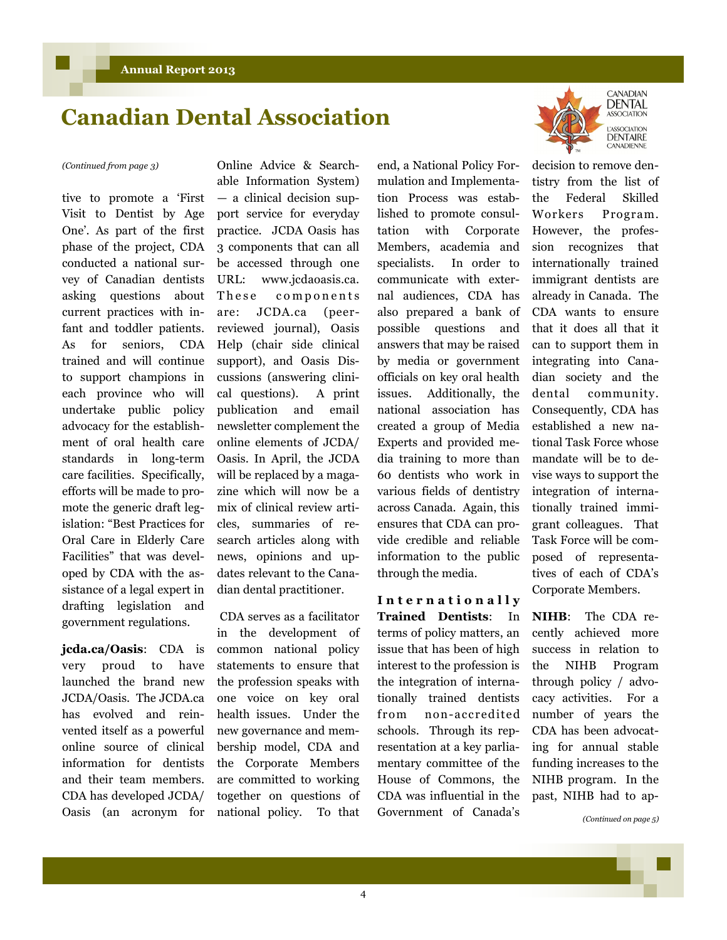### **Canadian Dental Association**

tive to promote a 'First Visit to Dentist by Age One'. As part of the first phase of the project, CDA conducted a national survey of Canadian dentists asking questions about current practices with infant and toddler patients. As for seniors, CDA trained and will continue to support champions in each province who will undertake public policy advocacy for the establishment of oral health care standards in long-term care facilities. Specifically, efforts will be made to promote the generic draft legislation: "Best Practices for Oral Care in Elderly Care Facilities" that was developed by CDA with the assistance of a legal expert in drafting legislation and government regulations.

**jcda.ca/Oasis**: CDA is very proud to have launched the brand new JCDA/Oasis. The JCDA.ca has evolved and reinvented itself as a powerful online source of clinical information for dentists and their team members. CDA has developed JCDA/ Oasis (an acronym for

*(Continued from page 3)* Online Advice & Searchable Information System) — a clinical decision support service for everyday practice. JCDA Oasis has 3 components that can all be accessed through one URL: www.jcdaoasis.ca. These components are: JCDA.ca (peerreviewed journal), Oasis Help (chair side clinical support), and Oasis Discussions (answering clinical questions). A print publication and email newsletter complement the online elements of JCDA/ Oasis. In April, the JCDA will be replaced by a magazine which will now be a mix of clinical review articles, summaries of research articles along with news, opinions and updates relevant to the Canadian dental practitioner.

> CDA serves as a facilitator in the development of common national policy statements to ensure that the profession speaks with one voice on key oral health issues. Under the new governance and membership model, CDA and the Corporate Members are committed to working together on questions of national policy. To that

end, a National Policy Formulation and Implementation Process was established to promote consultation with Corporate Members, academia and specialists. In order to communicate with external audiences, CDA has also prepared a bank of possible questions and answers that may be raised by media or government officials on key oral health issues. Additionally, the national association has created a group of Media Experts and provided media training to more than 60 dentists who work in various fields of dentistry across Canada. Again, this ensures that CDA can provide credible and reliable information to the public through the media.

**I n t e r n a t i o n a l l y Trained Dentists**: In terms of policy matters, an issue that has been of high interest to the profession is the integration of internationally trained dentists from non-accredited schools. Through its representation at a key parliamentary committee of the House of Commons, the CDA was influential in the Government of Canada's



**ASSOCIATION ASSOCIATION DENTAIRE** CANADIENNE

decision to remove dentistry from the list of the Federal Skilled Workers Program. However, the profession recognizes that internationally trained immigrant dentists are already in Canada. The CDA wants to ensure that it does all that it can to support them in integrating into Canadian society and the dental community. Consequently, CDA has established a new national Task Force whose mandate will be to devise ways to support the integration of internationally trained immigrant colleagues. That Task Force will be composed of representatives of each of CDA's Corporate Members.

**NIHB**: The CDA recently achieved more success in relation to the NIHB Program through policy / advocacy activities. For a number of years the CDA has been advocating for annual stable funding increases to the NIHB program. In the past, NIHB had to ap-

*(Continued on page 5)*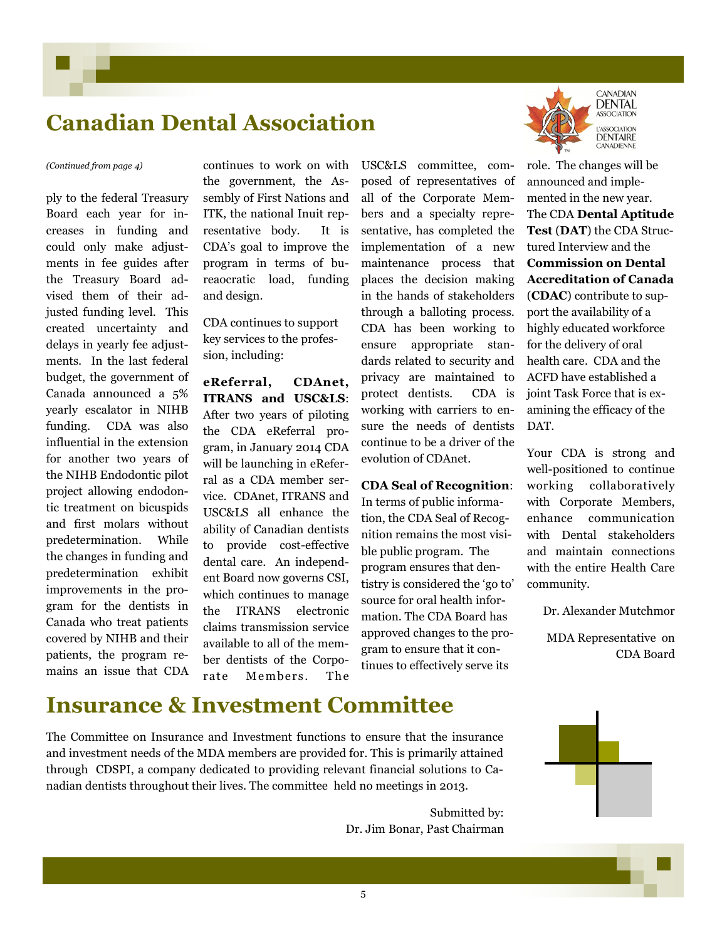### **Canadian Dental Association**

ply to the federal Treasury Board each year for increases in funding and could only make adjustments in fee guides after the Treasury Board advised them of their adjusted funding level. This created uncertainty and delays in yearly fee adjustments. In the last federal budget, the government of Canada announced a 5% yearly escalator in NIHB funding. CDA was also influential in the extension for another two years of the NIHB Endodontic pilot project allowing endodontic treatment on bicuspids and first molars without predetermination. While the changes in funding and predetermination exhibit improvements in the program for the dentists in Canada who treat patients covered by NIHB and their patients, the program remains an issue that CDA

continues to work on with the government, the Assembly of First Nations and ITK, the national Inuit representative body. It is CDA's goal to improve the program in terms of bureaocratic load, funding and design.

CDA continues to support key services to the profession, including:

**eReferral, CDAnet, ITRANS and USC&LS**: After two years of piloting the CDA eReferral program, in January 2014 CDA will be launching in eReferral as a CDA member service. CDAnet, ITRANS and USC&LS all enhance the ability of Canadian dentists to provide cost-effective dental care. An independent Board now governs CSI, which continues to manage the ITRANS electronic claims transmission service available to all of the member dentists of the Corporate Members. The

*(Continued from page 4)* continues to work on with USC&LS committee, composed of representatives of all of the Corporate Members and a specialty representative, has completed the implementation of a new maintenance process that places the decision making in the hands of stakeholders through a balloting process. CDA has been working to ensure appropriate standards related to security and privacy are maintained to protect dentists. CDA is working with carriers to ensure the needs of dentists continue to be a driver of the evolution of CDAnet.

#### **CDA Seal of Recognition**:

In terms of public information, the CDA Seal of Recognition remains the most visible public program. The program ensures that dentistry is considered the 'go to' source for oral health information. The CDA Board has approved changes to the program to ensure that it continues to effectively serve its



**DENTAL ASSOCIATION** ASSOCIATION **DENTAIRE** CANADIENNE

role. The changes will be announced and implemented in the new year. The CDA **Dental Aptitude Test** (**DAT**) the CDA Structured Interview and the **Commission on Dental Accreditation of Canada** (**CDAC**) contribute to support the availability of a highly educated workforce for the delivery of oral health care. CDA and the ACFD have established a joint Task Force that is examining the efficacy of the DAT.

Your CDA is strong and well-positioned to continue working collaboratively with Corporate Members, enhance communication with Dental stakeholders and maintain connections with the entire Health Care community.

Dr. Alexander Mutchmor

MDA Representative on CDA Board



The Committee on Insurance and Investment functions to ensure that the insurance and investment needs of the MDA members are provided for. This is primarily attained through CDSPI, a company dedicated to providing relevant financial solutions to Canadian dentists throughout their lives. The committee held no meetings in 2013.

> Submitted by: Dr. Jim Bonar, Past Chairman

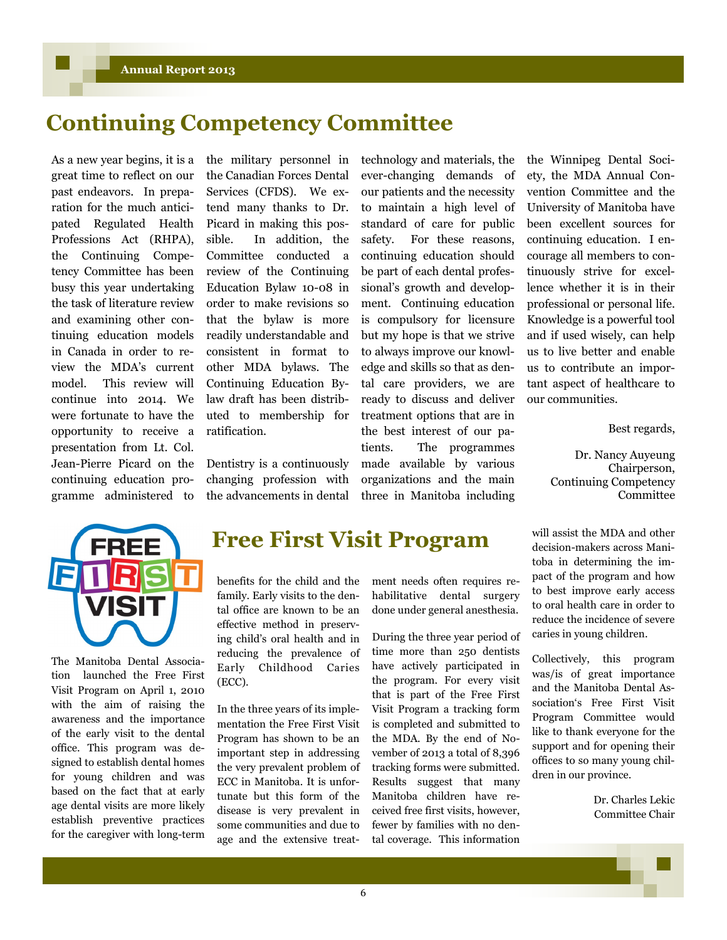### **Continuing Competency Committee**

As a new year begins, it is a great time to reflect on our past endeavors. In preparation for the much anticipated Regulated Health Professions Act (RHPA), the Continuing Competency Committee has been busy this year undertaking the task of literature review and examining other continuing education models in Canada in order to review the MDA's current model. This review will continue into 2014. We were fortunate to have the opportunity to receive a presentation from Lt. Col. Jean-Pierre Picard on the continuing education programme administered to

the military personnel in the Canadian Forces Dental Services (CFDS). We extend many thanks to Dr. Picard in making this possible. In addition, the Committee conducted a review of the Continuing Education Bylaw 10-08 in order to make revisions so that the bylaw is more readily understandable and consistent in format to other MDA bylaws. The Continuing Education Bylaw draft has been distributed to membership for ratification.

Dentistry is a continuously changing profession with the advancements in dental technology and materials, the ever-changing demands of our patients and the necessity to maintain a high level of standard of care for public safety. For these reasons, continuing education should be part of each dental professional's growth and development. Continuing education is compulsory for licensure but my hope is that we strive to always improve our knowledge and skills so that as dental care providers, we are ready to discuss and deliver treatment options that are in the best interest of our patients. The programmes made available by various organizations and the main three in Manitoba including

the Winnipeg Dental Society, the MDA Annual Convention Committee and the University of Manitoba have been excellent sources for continuing education. I encourage all members to continuously strive for excellence whether it is in their professional or personal life. Knowledge is a powerful tool and if used wisely, can help us to live better and enable us to contribute an important aspect of healthcare to our communities.

Best regards,

Dr. Nancy Auyeung Chairperson, Continuing Competency Committee



The Manitoba Dental Association launched the Free First Visit Program on April 1, 2010 with the aim of raising the awareness and the importance of the early visit to the dental office. This program was designed to establish dental homes for young children and was based on the fact that at early age dental visits are more likely establish preventive practices for the caregiver with long-term

### **Free First Visit Program**

benefits for the child and the family. Early visits to the dental office are known to be an effective method in preserving child's oral health and in reducing the prevalence of Early Childhood Caries (ECC).

In the three years of its implementation the Free First Visit Program has shown to be an important step in addressing the very prevalent problem of ECC in Manitoba. It is unfortunate but this form of the disease is very prevalent in some communities and due to age and the extensive treatment needs often requires rehabilitative dental surgery done under general anesthesia.

During the three year period of time more than 250 dentists have actively participated in the program. For every visit that is part of the Free First Visit Program a tracking form is completed and submitted to the MDA. By the end of November of 2013 a total of 8,396 tracking forms were submitted. Results suggest that many Manitoba children have received free first visits, however, fewer by families with no dental coverage. This information

will assist the MDA and other decision-makers across Manitoba in determining the impact of the program and how to best improve early access to oral health care in order to reduce the incidence of severe caries in young children.

Collectively, this program was/is of great importance and the Manitoba Dental Association's Free First Visit Program Committee would like to thank everyone for the support and for opening their offices to so many young children in our province.

> Dr. Charles Lekic Committee Chair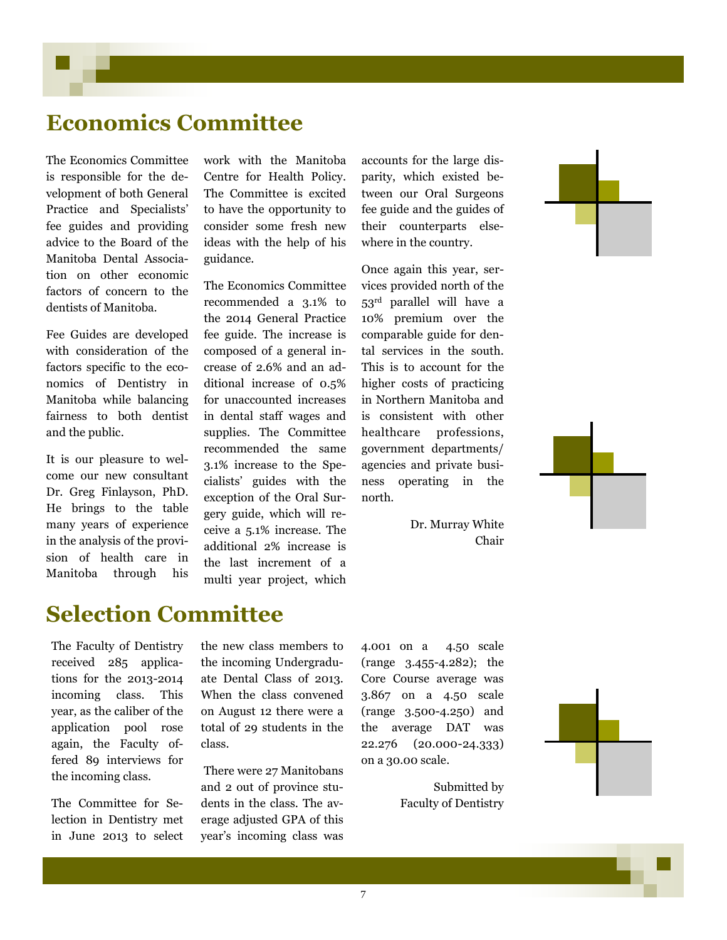### **Economics Committee**

The Economics Committee is responsible for the development of both General Practice and Specialists' fee guides and providing advice to the Board of the Manitoba Dental Association on other economic factors of concern to the dentists of Manitoba.

Fee Guides are developed with consideration of the factors specific to the economics of Dentistry in Manitoba while balancing fairness to both dentist and the public.

It is our pleasure to welcome our new consultant Dr. Greg Finlayson, PhD. He brings to the table many years of experience in the analysis of the provision of health care in Manitoba through his

work with the Manitoba Centre for Health Policy. The Committee is excited to have the opportunity to consider some fresh new ideas with the help of his guidance.

The Economics Committee recommended a 3.1% to the 2014 General Practice fee guide. The increase is composed of a general increase of 2.6% and an additional increase of 0.5% for unaccounted increases in dental staff wages and supplies. The Committee recommended the same 3.1% increase to the Specialists' guides with the exception of the Oral Surgery guide, which will receive a 5.1% increase. The additional 2% increase is the last increment of a multi year project, which

accounts for the large disparity, which existed between our Oral Surgeons fee guide and the guides of their counterparts elsewhere in the country.

Once again this year, services provided north of the 53rd parallel will have a 10% premium over the comparable guide for dental services in the south. This is to account for the higher costs of practicing in Northern Manitoba and is consistent with other healthcare professions, government departments/ agencies and private business operating in the north.

> Dr. Murray White Chair

## **Selection Committee**

The Faculty of Dentistry received 285 applications for the 2013-2014 incoming class. This year, as the caliber of the application pool rose again, the Faculty offered 89 interviews for the incoming class.

The Committee for Selection in Dentistry met in June 2013 to select

the new class members to the incoming Undergraduate Dental Class of 2013. When the class convened on August 12 there were a total of 29 students in the class.

There were 27 Manitobans and 2 out of province students in the class. The average adjusted GPA of this year's incoming class was

4.001 on a 4.50 scale (range 3.455-4.282); the Core Course average was 3.867 on a 4.50 scale (range 3.500-4.250) and the average DAT was 22.276 (20.000-24.333) on a 30.00 scale.

> Submitted by Faculty of Dentistry



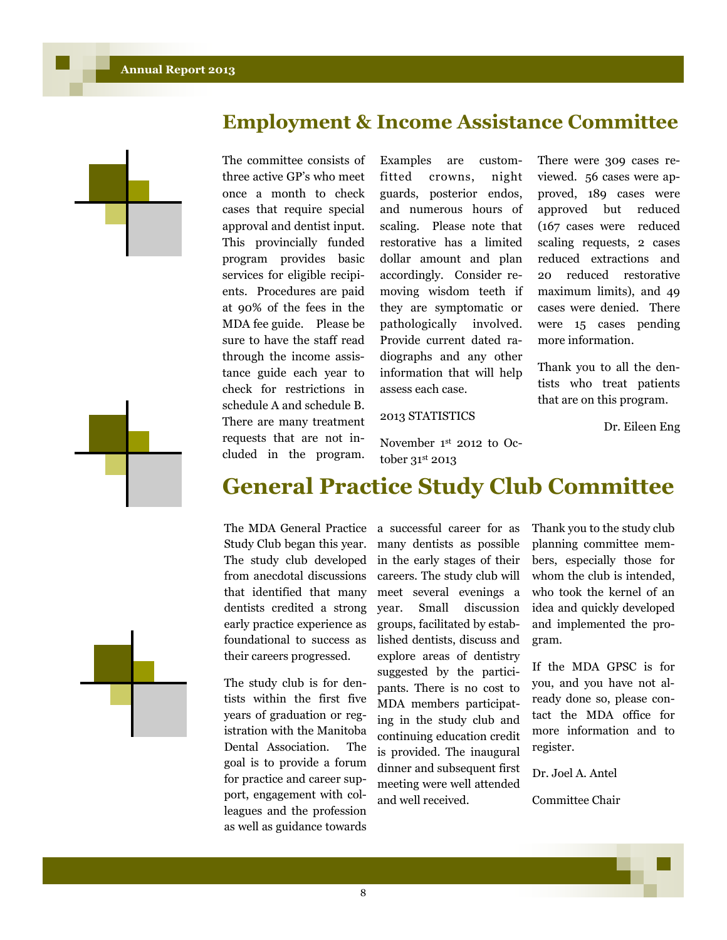



The committee consists of three active GP's who meet once a month to check cases that require special approval and dentist input. This provincially funded program provides basic services for eligible recipients. Procedures are paid at 90% of the fees in the MDA fee guide. Please be sure to have the staff read through the income assistance guide each year to check for restrictions in schedule A and schedule B. There are many treatment requests that are not included in the program.

Examples are customfitted crowns, night guards, posterior endos, and numerous hours of scaling. Please note that restorative has a limited dollar amount and plan accordingly. Consider removing wisdom teeth if they are symptomatic or pathologically involved. Provide current dated radiographs and any other information that will help assess each case.

#### 2013 STATISTICS

November 1st 2012 to October 31st 2013

There were 309 cases reviewed. 56 cases were approved, 189 cases were approved but reduced (167 cases were reduced scaling requests, 2 cases reduced extractions and 20 reduced restorative maximum limits), and 49 cases were denied. There were 15 cases pending more information.

Thank you to all the dentists who treat patients that are on this program.

Dr. Eileen Eng



### **General Practice Study Club Committee**

The MDA General Practice Study Club began this year. The study club developed from anecdotal discussions that identified that many dentists credited a strong early practice experience as foundational to success as their careers progressed.

The study club is for dentists within the first five years of graduation or registration with the Manitoba Dental Association. The goal is to provide a forum for practice and career support, engagement with colleagues and the profession as well as guidance towards a successful career for as many dentists as possible in the early stages of their careers. The study club will meet several evenings a year. Small discussion groups, facilitated by established dentists, discuss and explore areas of dentistry suggested by the participants. There is no cost to MDA members participating in the study club and continuing education credit is provided. The inaugural dinner and subsequent first meeting were well attended and well received.

Thank you to the study club planning committee members, especially those for whom the club is intended, who took the kernel of an idea and quickly developed and implemented the program.

If the MDA GPSC is for you, and you have not already done so, please contact the MDA office for more information and to register.

Dr. Joel A. Antel

Committee Chair

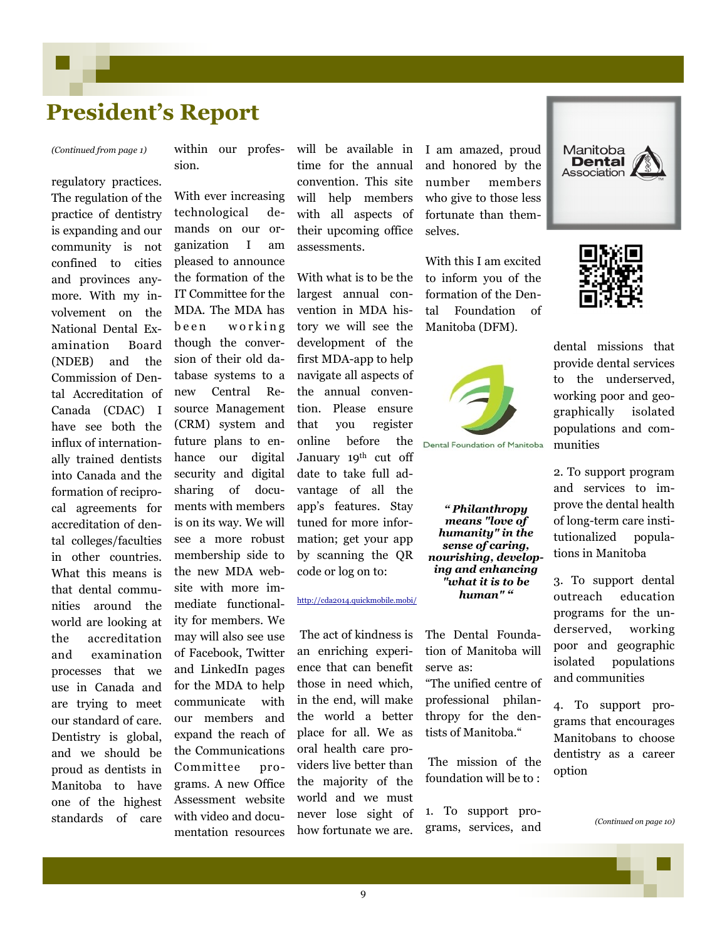### **President's Report**

regulatory practices. The regulation of the practice of dentistry is expanding and our community is not confined to cities and provinces anymore. With my involvement on the National Dental Examination Board (NDEB) and the Commission of Dental Accreditation of Canada (CDAC) I have see both the influx of internationally trained dentists into Canada and the formation of reciprocal agreements for accreditation of dental colleges/faculties in other countries. What this means is that dental communities around the world are looking at the accreditation and examination processes that we use in Canada and are trying to meet our standard of care. Dentistry is global, and we should be proud as dentists in Manitoba to have one of the highest standards of care

*(Continued from page 1)* within our profession.

> With ever increasing technological demands on our organization I am pleased to announce the formation of the IT Committee for the MDA. The MDA has been working though the conversion of their old database systems to a new Central Resource Management (CRM) system and future plans to enhance our digital security and digital sharing of documents with members is on its way. We will see a more robust membership side to the new MDA website with more immediate functionality for members. We may will also see use of Facebook, Twitter and LinkedIn pages for the MDA to help communicate with our members and expand the reach of the Communications Committee programs. A new Office Assessment website with video and documentation resources

will be available in time for the annual convention. This site will help members with all aspects of their upcoming office assessments.

With what is to be the largest annual convention in MDA history we will see the development of the first MDA-app to help navigate all aspects of the annual convention. Please ensure that you register online before the January 19th cut off date to take full advantage of all the app's features. Stay tuned for more information; get your app by scanning the QR code or log on to:

#### <http://cda2014.quickmobile.mobi/>

The act of kindness is an enriching experience that can benefit those in need which, in the end, will make the world a better place for all. We as oral health care providers live better than the majority of the world and we must never lose sight of how fortunate we are.

I am amazed, proud and honored by the number members who give to those less fortunate than themselves.

With this I am excited to inform you of the formation of the Dental Foundation of Manitoba (DFM).



Dental Foundation of Manitoba

*" Philanthropy means "love of humanity" in the sense of caring, nourishing, developing and enhancing "what it is to be human" "*

The Dental Foundation of Manitoba will serve as:

"The unified centre of professional philanthropy for the dentists of Manitoba."

The mission of the foundation will be to :

1. To support programs, services, and





dental missions that provide dental services to the underserved, working poor and geographically isolated populations and communities

2. To support program and services to improve the dental health of long-term care institutionalized populations in Manitoba

3. To support dental outreach education programs for the underserved, working poor and geographic isolated populations and communities

4. To support programs that encourages Manitobans to choose dentistry as a career option

*(Continued on page 10)*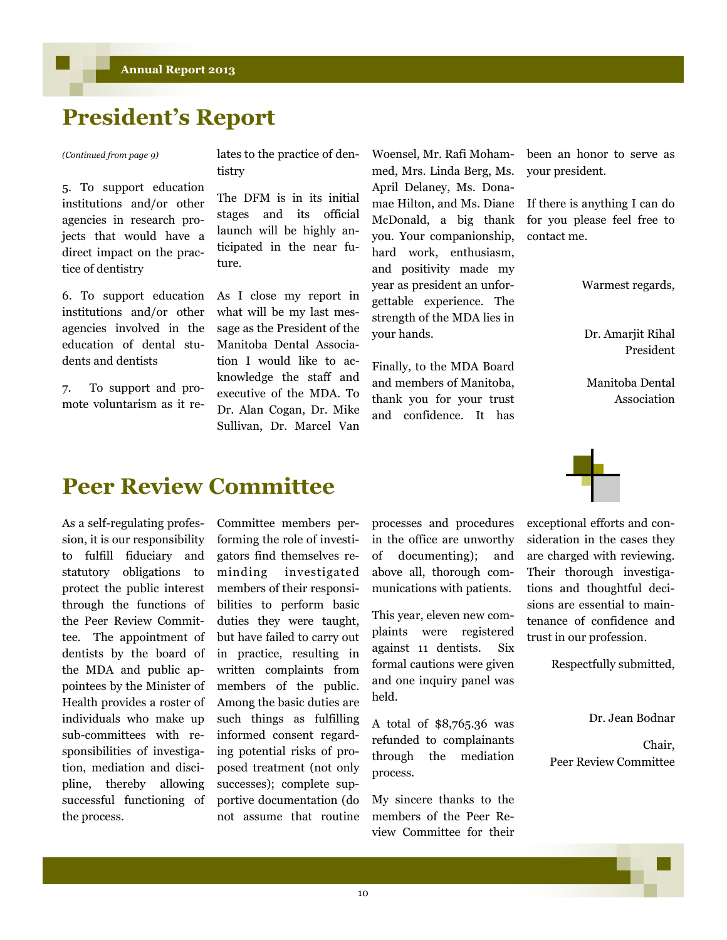## **President's Report**

5. To support education institutions and/or other agencies in research projects that would have a direct impact on the practice of dentistry

6. To support education institutions and/or other agencies involved in the education of dental students and dentists

7. To support and promote voluntarism as it re-

*(Continued from page 9)* lates to the practice of dentistry

> The DFM is in its initial stages and its official launch will be highly anticipated in the near future.

As I close my report in what will be my last message as the President of the Manitoba Dental Association I would like to acknowledge the staff and executive of the MDA. To Dr. Alan Cogan, Dr. Mike Sullivan, Dr. Marcel Van Woensel, Mr. Rafi Mohammed, Mrs. Linda Berg, Ms. April Delaney, Ms. Donamae Hilton, and Ms. Diane McDonald, a big thank you. Your companionship, hard work, enthusiasm, and positivity made my year as president an unforgettable experience. The strength of the MDA lies in your hands.

Finally, to the MDA Board and members of Manitoba, thank you for your trust and confidence. It has

been an honor to serve as your president.

If there is anything I can do for you please feel free to contact me.

Warmest regards,

Dr. Amarjit Rihal President

Manitoba Dental Association

### **Peer Review Committee**

As a self-regulating profession, it is our responsibility to fulfill fiduciary and statutory obligations to protect the public interest through the functions of the Peer Review Committee. The appointment of dentists by the board of the MDA and public appointees by the Minister of Health provides a roster of individuals who make up sub-committees with responsibilities of investigation, mediation and discipline, thereby allowing successful functioning of the process.

Committee members performing the role of investigators find themselves reminding investigated members of their responsibilities to perform basic duties they were taught, but have failed to carry out in practice, resulting in written complaints from members of the public. Among the basic duties are such things as fulfilling informed consent regarding potential risks of proposed treatment (not only successes); complete supportive documentation (do not assume that routine

processes and procedures in the office are unworthy of documenting); and above all, thorough communications with patients.

This year, eleven new complaints were registered against 11 dentists. Six formal cautions were given and one inquiry panel was held.

A total of \$8,765.36 was refunded to complainants through the mediation process.

My sincere thanks to the members of the Peer Review Committee for their

exceptional efforts and consideration in the cases they are charged with reviewing. Their thorough investigations and thoughtful decisions are essential to maintenance of confidence and trust in our profession.

Respectfully submitted,

Dr. Jean Bodnar

Chair, Peer Review Committee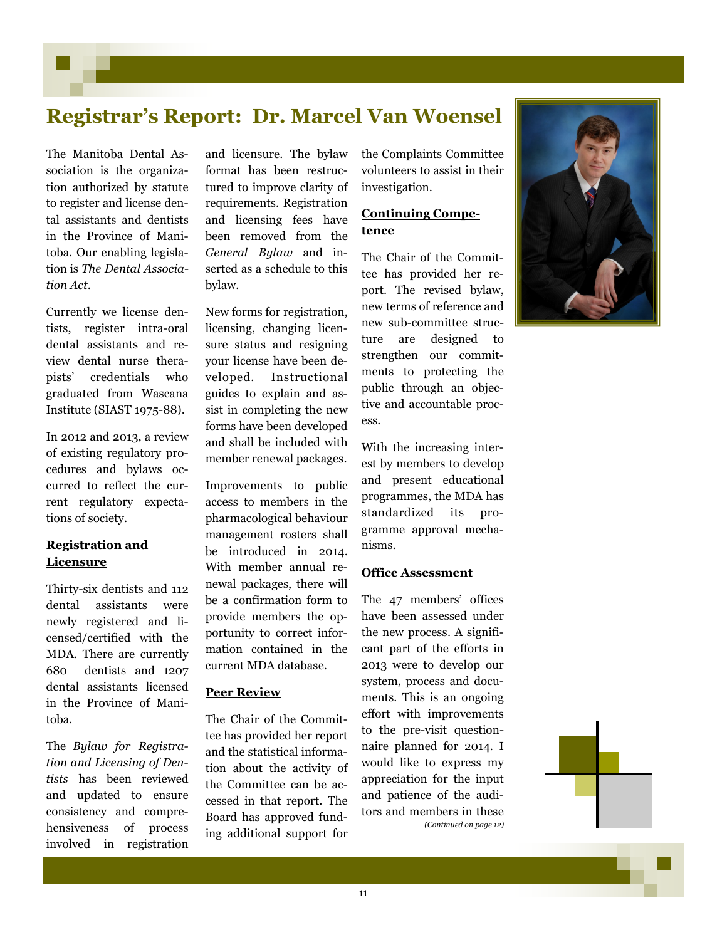### **Registrar's Report: Dr. Marcel Van Woensel**

The Manitoba Dental Association is the organization authorized by statute to register and license dental assistants and dentists in the Province of Manitoba. Our enabling legislation is *The Dental Association Act*.

Currently we license dentists, register intra-oral dental assistants and review dental nurse therapists' credentials who graduated from Wascana Institute (SIAST 1975-88).

In 2012 and 2013, a review of existing regulatory procedures and bylaws occurred to reflect the current regulatory expectations of society.

### **Registration and Licensure**

Thirty-six dentists and 112 dental assistants were newly registered and licensed/certified with the MDA. There are currently 680 dentists and 1207 dental assistants licensed in the Province of Manitoba.

The *Bylaw for Registration and Licensing of Dentists* has been reviewed and updated to ensure consistency and comprehensiveness of process involved in registration

and licensure. The bylaw format has been restructured to improve clarity of requirements. Registration and licensing fees have been removed from the *General Bylaw* and inserted as a schedule to this bylaw.

New forms for registration, licensing, changing licensure status and resigning your license have been developed. Instructional guides to explain and assist in completing the new forms have been developed and shall be included with member renewal packages.

Improvements to public access to members in the pharmacological behaviour management rosters shall be introduced in 2014. With member annual renewal packages, there will be a confirmation form to provide members the opportunity to correct information contained in the current MDA database.

#### **Peer Review**

The Chair of the Committee has provided her report and the statistical information about the activity of the Committee can be accessed in that report. The Board has approved funding additional support for the Complaints Committee volunteers to assist in their investigation.

#### **Continuing Competence**

The Chair of the Committee has provided her report. The revised bylaw, new terms of reference and new sub-committee structure are designed to strengthen our commitments to protecting the public through an objective and accountable process.

With the increasing interest by members to develop and present educational programmes, the MDA has standardized its programme approval mechanisms.

#### **Office Assessment**

The 47 members' offices have been assessed under the new process. A significant part of the efforts in 2013 were to develop our system, process and documents. This is an ongoing effort with improvements to the pre-visit questionnaire planned for 2014. I would like to express my appreciation for the input and patience of the auditors and members in these *(Continued on page 12)*

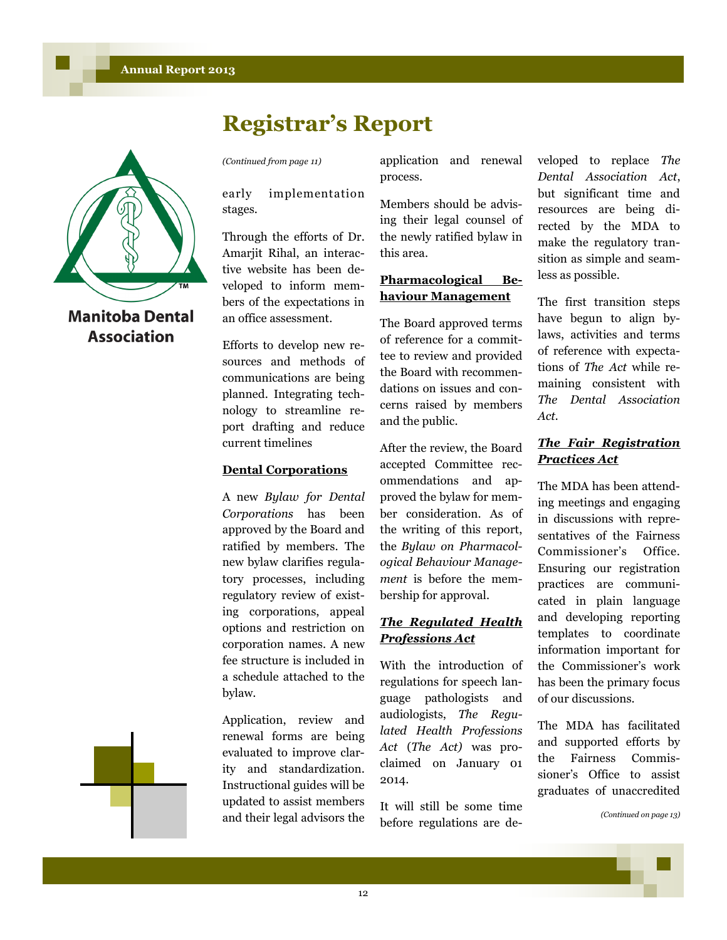



**Manitoba Dental Association** 

early implementation stages.

Through the efforts of Dr. Amarjit Rihal, an interactive website has been developed to inform members of the expectations in an office assessment.

Efforts to develop new resources and methods of communications are being planned. Integrating technology to streamline report drafting and reduce current timelines

#### **Dental Corporations**

A new *Bylaw for Dental Corporations* has been approved by the Board and ratified by members. The new bylaw clarifies regulatory processes, including regulatory review of existing corporations, appeal options and restriction on corporation names. A new fee structure is included in a schedule attached to the bylaw.

Application, review and renewal forms are being evaluated to improve clarity and standardization. Instructional guides will be updated to assist members and their legal advisors the

*(Continued from page 11)* application and renewal process.

> Members should be advising their legal counsel of the newly ratified bylaw in this area.

### **Pharmacological Behaviour Management**

The Board approved terms of reference for a committee to review and provided the Board with recommendations on issues and concerns raised by members and the public.

After the review, the Board accepted Committee recommendations and approved the bylaw for member consideration. As of the writing of this report, the *Bylaw on Pharmacological Behaviour Management* is before the membership for approval.

### *The Regulated Health Professions Act*

With the introduction of regulations for speech language pathologists and audiologists, *The Regulated Health Professions Act* (*The Act)* was proclaimed on January 01 2014.

It will still be some time before regulations are developed to replace *The Dental Association Act*, but significant time and resources are being directed by the MDA to make the regulatory transition as simple and seamless as possible.

The first transition steps have begun to align bylaws, activities and terms of reference with expectations of *The Act* while remaining consistent with *The Dental Association Act.*

### *The Fair Registration Practices Act*

The MDA has been attending meetings and engaging in discussions with representatives of the Fairness Commissioner's Office. Ensuring our registration practices are communicated in plain language and developing reporting templates to coordinate information important for the Commissioner's work has been the primary focus of our discussions.

The MDA has facilitated and supported efforts by the Fairness Commissioner's Office to assist graduates of unaccredited

*(Continued on page 13)*

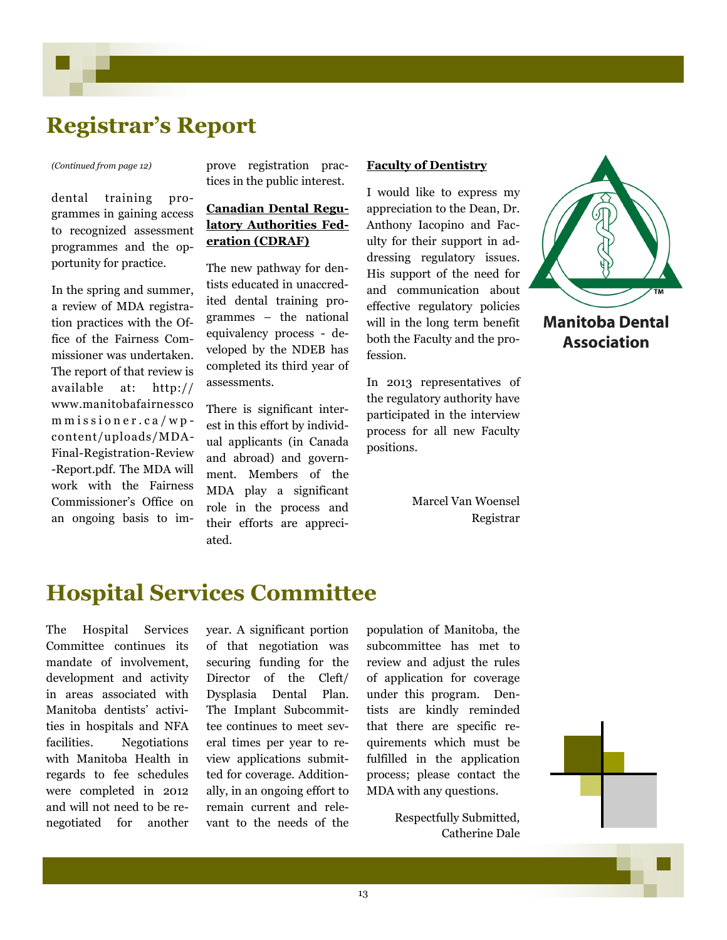### **Registrar's Report**

dental training programmes in gaining access to recognized assessment programmes and the opportunity for practice.

In the spring and summer, a review of MDA registration practices with the Office of the Fairness Commissioner was undertaken. The report of that review is available at: http:// www.manitobafairnessco m m is sioner.ca/wpcontent/uploads/MDA-Final-Registration-Review -Report.pdf. The MDA will work with the Fairness Commissioner's Office on an ongoing basis to im-

*(Continued from page 12)* prove registration practices in the public interest.

### **Canadian Dental Regulatory Authorities Federation (CDRAF)**

The new pathway for dentists educated in unaccredited dental training programmes – the national equivalency process - developed by the NDEB has completed its third year of assessments.

There is significant interest in this effort by individual applicants (in Canada and abroad) and government. Members of the MDA play a significant role in the process and their efforts are appreciated.

#### **Faculty of Dentistry**

I would like to express my appreciation to the Dean, Dr. Anthony Iacopino and Faculty for their support in addressing regulatory issues. His support of the need for and communication about effective regulatory policies will in the long term benefit both the Faculty and the profession.

In 2013 representatives of the regulatory authority have participated in the interview process for all new Faculty positions.

> Marcel Van Woensel Registrar



### **Hospital Services Committee**

The Hospital Services Committee continues its mandate of involvement, development and activity in areas associated with Manitoba dentists' activities in hospitals and NFA facilities. Negotiations with Manitoba Health in regards to fee schedules were completed in 2012 and will not need to be renegotiated for another

year. A significant portion of that negotiation was securing funding for the Director of the Cleft/ Dysplasia Dental Plan. The Implant Subcommittee continues to meet several times per year to review applications submitted for coverage. Additionally, in an ongoing effort to remain current and relevant to the needs of the population of Manitoba, the subcommittee has met to review and adjust the rules of application for coverage under this program. Dentists are kindly reminded that there are specific requirements which must be fulfilled in the application process; please contact the MDA with any questions.

> Respectfully Submitted, Catherine Dale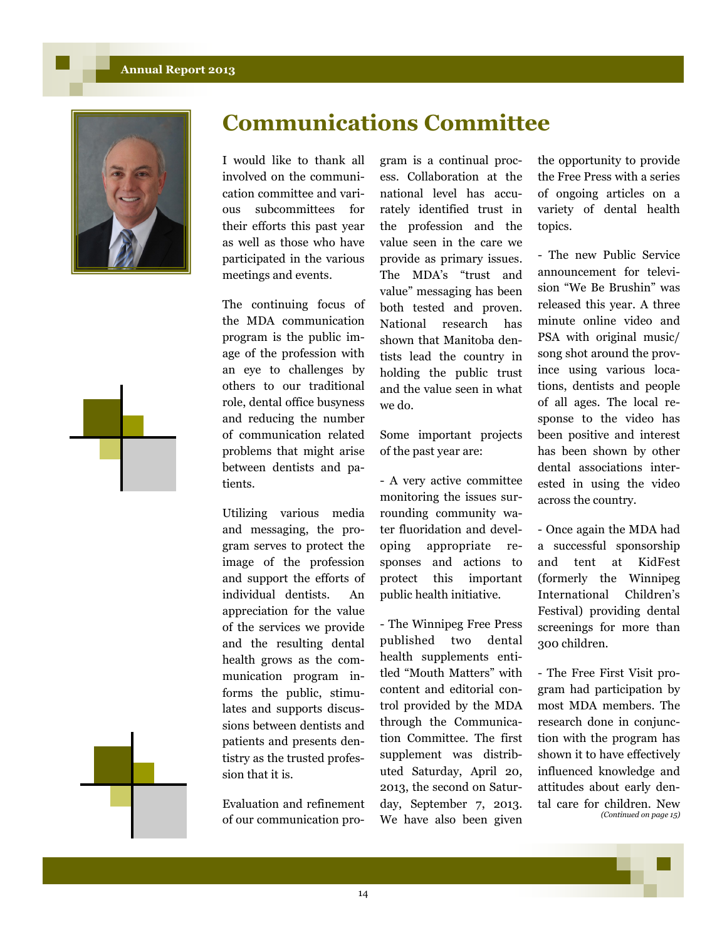#### **Annual Report 2013**





The continuing focus of the MDA communication program is the public image of the profession with an eye to challenges by others to our traditional role, dental office busyness and reducing the number of communication related problems that might arise between dentists and patients.

Utilizing various media and messaging, the program serves to protect the image of the profession and support the efforts of individual dentists. An appreciation for the value of the services we provide and the resulting dental health grows as the communication program informs the public, stimulates and supports discussions between dentists and patients and presents dentistry as the trusted profession that it is.

Evaluation and refinement of our communication program is a continual process. Collaboration at the national level has accurately identified trust in the profession and the value seen in the care we provide as primary issues. The MDA's "trust and value" messaging has been both tested and proven. National research has shown that Manitoba dentists lead the country in holding the public trust and the value seen in what we do.

**Communications Committee**

Some important projects of the past year are:

- A very active committee monitoring the issues surrounding community water fluoridation and developing appropriate responses and actions to protect this important public health initiative.

- The Winnipeg Free Press published two dental health supplements entitled "Mouth Matters" with content and editorial control provided by the MDA through the Communication Committee. The first supplement was distributed Saturday, April 20, 2013, the second on Saturday, September 7, 2013. We have also been given

the opportunity to provide the Free Press with a series of ongoing articles on a variety of dental health topics.

- The new Public Service announcement for television "We Be Brushin" was released this year. A three minute online video and PSA with original music/ song shot around the province using various locations, dentists and people of all ages. The local response to the video has been positive and interest has been shown by other dental associations interested in using the video across the country.

- Once again the MDA had a successful sponsorship and tent at KidFest (formerly the Winnipeg International Children's Festival) providing dental screenings for more than 300 children.

- The Free First Visit program had participation by most MDA members. The research done in conjunction with the program has shown it to have effectively influenced knowledge and attitudes about early dental care for children. New *(Continued on page 15)*

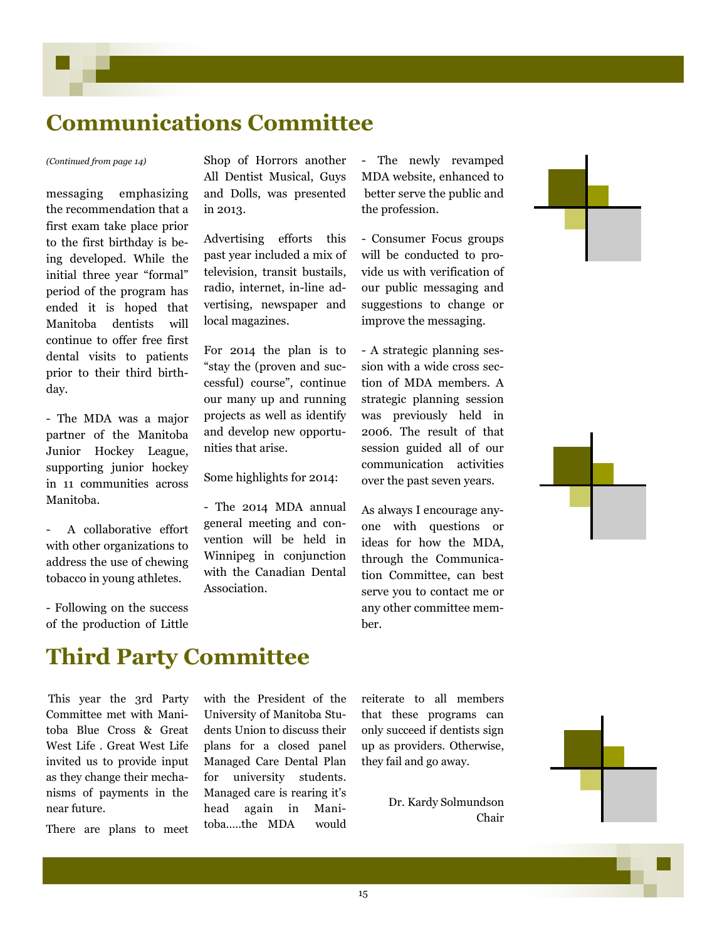## **Communications Committee**

messaging emphasizing the recommendation that a first exam take place prior to the first birthday is being developed. While the initial three year "formal" period of the program has ended it is hoped that Manitoba dentists will continue to offer free first dental visits to patients prior to their third birthday.

- The MDA was a major partner of the Manitoba Junior Hockey League, supporting junior hockey in 11 communities across Manitoba.

A collaborative effort with other organizations to address the use of chewing tobacco in young athletes.

- Following on the success of the production of Little

*(Continued from page 14)* Shop of Horrors another All Dentist Musical, Guys and Dolls, was presented in 2013.

> Advertising efforts this past year included a mix of television, transit bustails, radio, internet, in-line advertising, newspaper and local magazines.

> For 2014 the plan is to "stay the (proven and successful) course", continue our many up and running projects as well as identify and develop new opportunities that arise.

Some highlights for 2014:

- The 2014 MDA annual general meeting and convention will be held in Winnipeg in conjunction with the Canadian Dental Association.

- The newly revamped MDA website, enhanced to better serve the public and the profession.

- Consumer Focus groups will be conducted to provide us with verification of our public messaging and suggestions to change or improve the messaging.

- A strategic planning session with a wide cross section of MDA members. A strategic planning session was previously held in 2006. The result of that session guided all of our communication activities over the past seven years.

As always I encourage anyone with questions or ideas for how the MDA, through the Communication Committee, can best serve you to contact me or any other committee member.





### **Third Party Committee**

This year the 3rd Party Committee met with Manitoba Blue Cross & Great West Life . Great West Life invited us to provide input as they change their mechanisms of payments in the near future.

There are plans to meet

with the President of the University of Manitoba Students Union to discuss their plans for a closed panel Managed Care Dental Plan for university students. Managed care is rearing it's head again in Manitoba…..the MDA would reiterate to all members that these programs can only succeed if dentists sign up as providers. Otherwise, they fail and go away.

> Dr. Kardy Solmundson Chair

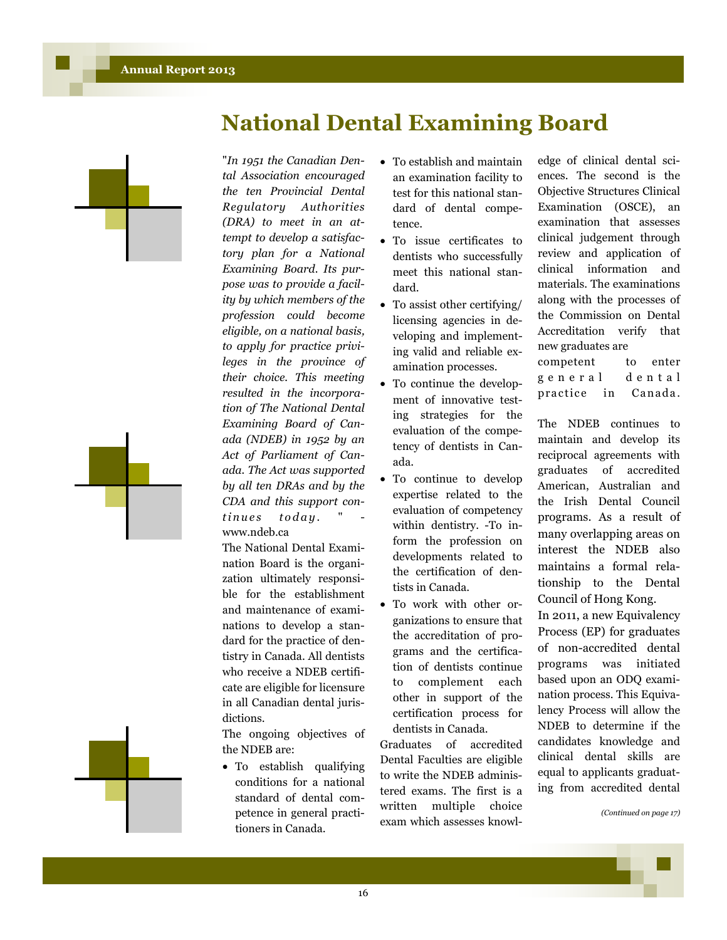



"*In 1951 the Canadian Dental Association encouraged the ten Provincial Dental Regulatory Authorities (DRA) to meet in an attempt to develop a satisfactory plan for a National Examining Board. Its purpose was to provide a facility by which members of the profession could become eligible, on a national basis, to apply for practice privileges in the province of their choice. This meeting resulted in the incorporation of The National Dental Examining Board of Canada (NDEB) in 1952 by an Act of Parliament of Canada. The Act was supported by all ten DRAs and by the CDA and this support con* $t$ *inues* today. www.ndeb.ca

The National Dental Examination Board is the organization ultimately responsible for the establishment and maintenance of examinations to develop a standard for the practice of dentistry in Canada. All dentists who receive a NDEB certificate are eligible for licensure in all Canadian dental jurisdictions.

The ongoing objectives of the NDEB are:

 To establish qualifying conditions for a national standard of dental competence in general practitioners in Canada.

 To establish and maintain an examination facility to test for this national standard of dental competence.

**National Dental Examining Board**

- To issue certificates to dentists who successfully meet this national standard.
- To assist other certifying/ licensing agencies in developing and implementing valid and reliable examination processes.
- To continue the development of innovative testing strategies for the evaluation of the competency of dentists in Canada.
- To continue to develop expertise related to the evaluation of competency within dentistry. -To inform the profession on developments related to the certification of dentists in Canada.
- To work with other organizations to ensure that the accreditation of programs and the certification of dentists continue to complement each other in support of the certification process for dentists in Canada.

Graduates of accredited Dental Faculties are eligible to write the NDEB administered exams. The first is a written multiple choice exam which assesses knowledge of clinical dental sciences. The second is the Objective Structures Clinical Examination (OSCE), an examination that assesses clinical judgement through review and application of clinical information and materials. The examinations along with the processes of the Commission on Dental Accreditation verify that new graduates are competent to enter g e n e r a l d e n t a l

practice in Canada.

The NDEB continues to maintain and develop its reciprocal agreements with graduates of accredited American, Australian and the Irish Dental Council programs. As a result of many overlapping areas on interest the NDEB also maintains a formal relationship to the Dental Council of Hong Kong.

In 2011, a new Equivalency Process (EP) for graduates of non-accredited dental programs was initiated based upon an ODQ examination process. This Equivalency Process will allow the NDEB to determine if the candidates knowledge and clinical dental skills are equal to applicants graduating from accredited dental

*(Continued on page 17)*

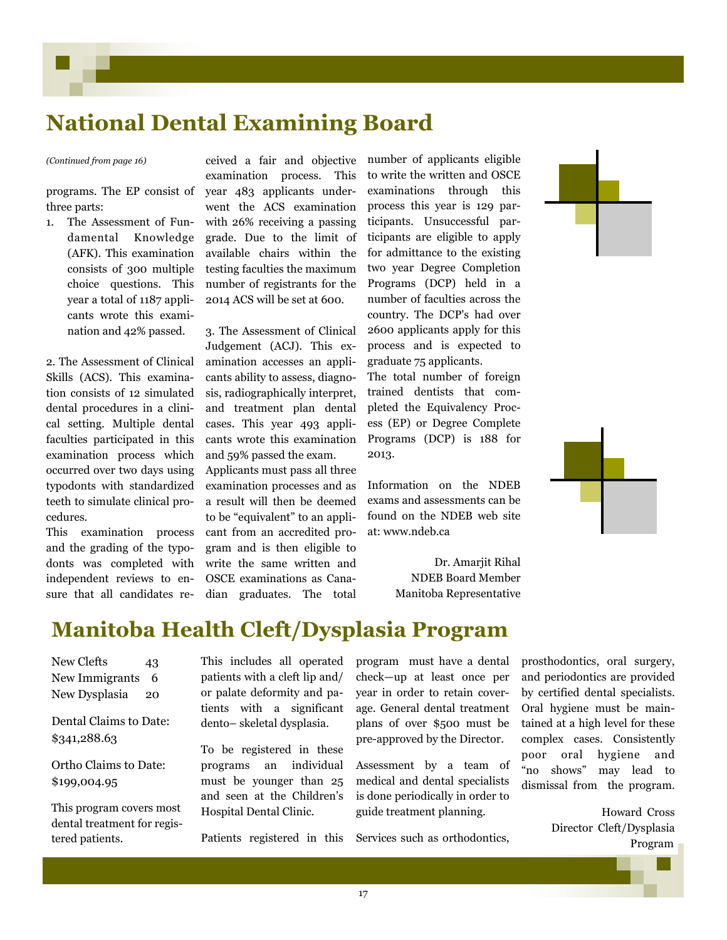## **National Dental Examining Board**

programs. The EP consist of three parts:

1. The Assessment of Fundamental Knowledge (AFK). This examination consists of 300 multiple choice questions. This year a total of 1187 applicants wrote this examination and 42% passed.

2. The Assessment of Clinical Skills (ACS). This examination consists of 12 simulated dental procedures in a clinical setting. Multiple dental faculties participated in this examination process which occurred over two days using typodonts with standardized teeth to simulate clinical procedures.

This examination process and the grading of the typodonts was completed with independent reviews to ensure that all candidates re-

*(Continued from page 16)* ceived a fair and objective examination process. This year 483 applicants underwent the ACS examination with 26% receiving a passing grade. Due to the limit of available chairs within the testing faculties the maximum number of registrants for the 2014 ACS will be set at 600.

> 3. The Assessment of Clinical Judgement (ACJ). This examination accesses an applicants ability to assess, diagnosis, radiographically interpret, and treatment plan dental cases. This year 493 applicants wrote this examination and 59% passed the exam.

> Applicants must pass all three examination processes and as a result will then be deemed to be "equivalent" to an applicant from an accredited program and is then eligible to write the same written and OSCE examinations as Canadian graduates. The total

number of applicants eligible to write the written and OSCE examinations through this process this year is 129 participants. Unsuccessful participants are eligible to apply for admittance to the existing two year Degree Completion Programs (DCP) held in a number of faculties across the country. The DCP's had over 2600 applicants apply for this process and is expected to graduate 75 applicants.

The total number of foreign trained dentists that completed the Equivalency Process (EP) or Degree Complete Programs (DCP) is 188 for 2013.

Information on the NDEB exams and assessments can be found on the NDEB web site at: www.ndeb.ca

> Dr. Amarjit Rihal NDEB Board Member Manitoba Representative





### **Manitoba Health Cleft/Dysplasia Program**

New Clefts 43 New Immigrants 6 New Dysplasia 20

Dental Claims to Date: \$341,288.63

Ortho Claims to Date: \$199,004.95

This program covers most dental treatment for registered patients.

This includes all operated patients with a cleft lip and/ or palate deformity and patients with a significant dento– skeletal dysplasia.

To be registered in these programs an individual must be younger than 25 and seen at the Children's Hospital Dental Clinic.

Patients registered in this

program must have a dental check—up at least once per year in order to retain coverage. General dental treatment plans of over \$500 must be pre-approved by the Director.

Assessment by a team of medical and dental specialists is done periodically in order to guide treatment planning.

Services such as orthodontics,

prosthodontics, oral surgery, and periodontics are provided by certified dental specialists. Oral hygiene must be maintained at a high level for these complex cases. Consistently poor oral hygiene and "no shows" may lead to dismissal from the program.

> Howard Cross Director Cleft/Dysplasia Program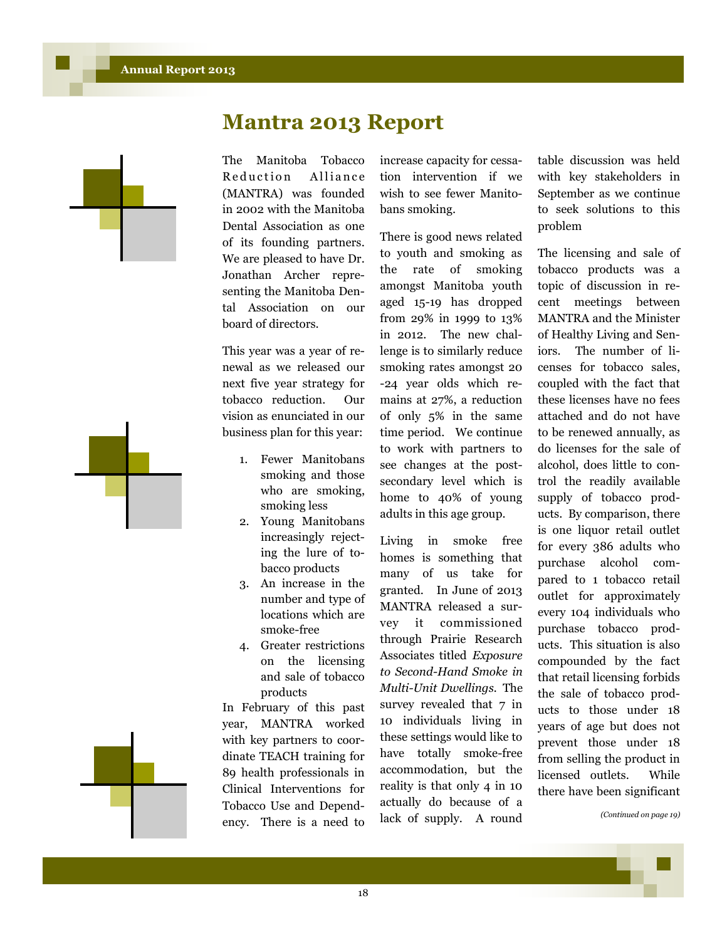



The Manitoba Tobacco Reduction Alliance (MANTRA) was founded in 2002 with the Manitoba Dental Association as one of its founding partners. We are pleased to have Dr. Jonathan Archer representing the Manitoba Dental Association on our board of directors.

This year was a year of renewal as we released our next five year strategy for tobacco reduction. Our vision as enunciated in our business plan for this year:

- 1. Fewer Manitobans smoking and those who are smoking, smoking less
- 2. Young Manitobans increasingly rejecting the lure of tobacco products
- 3. An increase in the number and type of locations which are smoke-free
- 4. Greater restrictions on the licensing and sale of tobacco products

In February of this past year, MANTRA worked with key partners to coordinate TEACH training for 89 health professionals in Clinical Interventions for Tobacco Use and Dependency. There is a need to

increase capacity for cessation intervention if we wish to see fewer Manitobans smoking.

There is good news related to youth and smoking as the rate of smoking amongst Manitoba youth aged 15-19 has dropped from 29% in 1999 to 13% in 2012. The new challenge is to similarly reduce smoking rates amongst 20 -24 year olds which remains at 27%, a reduction of only 5% in the same time period. We continue to work with partners to see changes at the postsecondary level which is home to 40% of young adults in this age group.

Living in smoke free homes is something that many of us take for granted. In June of 2013 MANTRA released a survey it commissioned through Prairie Research Associates titled *Exposure to Second-Hand Smoke in Multi-Unit Dwellings.* The survey revealed that 7 in 10 individuals living in these settings would like to have totally smoke-free accommodation, but the reality is that only 4 in 10 actually do because of a lack of supply. A round table discussion was held with key stakeholders in September as we continue to seek solutions to this problem

The licensing and sale of tobacco products was a topic of discussion in recent meetings between MANTRA and the Minister of Healthy Living and Seniors. The number of licenses for tobacco sales, coupled with the fact that these licenses have no fees attached and do not have to be renewed annually, as do licenses for the sale of alcohol, does little to control the readily available supply of tobacco products. By comparison, there is one liquor retail outlet for every 386 adults who purchase alcohol compared to 1 tobacco retail outlet for approximately every 104 individuals who purchase tobacco products. This situation is also compounded by the fact that retail licensing forbids the sale of tobacco products to those under 18 years of age but does not prevent those under 18 from selling the product in licensed outlets. While there have been significant

*(Continued on page 19)*

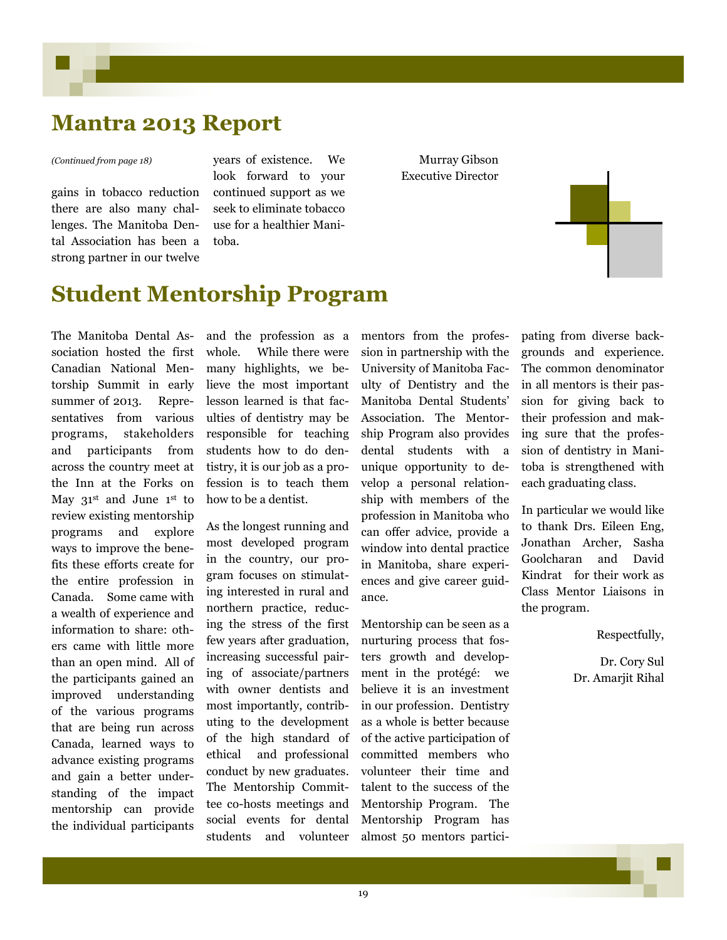### **Mantra 2013 Report**

#### *(Continued from page 18)*

gains in tobacco reduction there are also many challenges. The Manitoba Dental Association has been a strong partner in our twelve

years of existence. We look forward to your continued support as we seek to eliminate tobacco use for a healthier Manitoba.

Murray Gibson Executive Director



### **Student Mentorship Program**

The Manitoba Dental Association hosted the first Canadian National Mentorship Summit in early summer of 2013. Representatives from various programs, stakeholders and participants from across the country meet at the Inn at the Forks on May 31<sup>st</sup> and June 1<sup>st</sup> to review existing mentorship programs and explore ways to improve the benefits these efforts create for the entire profession in Canada. Some came with a wealth of experience and information to share: others came with little more than an open mind. All of the participants gained an improved understanding of the various programs that are being run across Canada, learned ways to advance existing programs and gain a better understanding of the impact mentorship can provide the individual participants

and the profession as a whole. While there were many highlights, we believe the most important lesson learned is that faculties of dentistry may be responsible for teaching students how to do dentistry, it is our job as a profession is to teach them how to be a dentist.

As the longest running and most developed program in the country, our program focuses on stimulating interested in rural and northern practice, reducing the stress of the first few years after graduation, increasing successful pairing of associate/partners with owner dentists and most importantly, contributing to the development of the high standard of ethical and professional conduct by new graduates. The Mentorship Committee co-hosts meetings and social events for dental students and volunteer mentors from the profession in partnership with the University of Manitoba Faculty of Dentistry and the Manitoba Dental Students' Association. The Mentorship Program also provides dental students with a unique opportunity to develop a personal relationship with members of the profession in Manitoba who can offer advice, provide a window into dental practice in Manitoba, share experiences and give career guidance.

Mentorship can be seen as a nurturing process that fosters growth and development in the protégé: we believe it is an investment in our profession. Dentistry as a whole is better because of the active participation of committed members who volunteer their time and talent to the success of the Mentorship Program. The Mentorship Program has almost 50 mentors participating from diverse backgrounds and experience. The common denominator in all mentors is their passion for giving back to their profession and making sure that the profession of dentistry in Manitoba is strengthened with each graduating class.

In particular we would like to thank Drs. Eileen Eng, Jonathan Archer, Sasha Goolcharan and David Kindrat for their work as Class Mentor Liaisons in the program.

Respectfully,

Dr. Cory Sul Dr. Amarjit Rihal